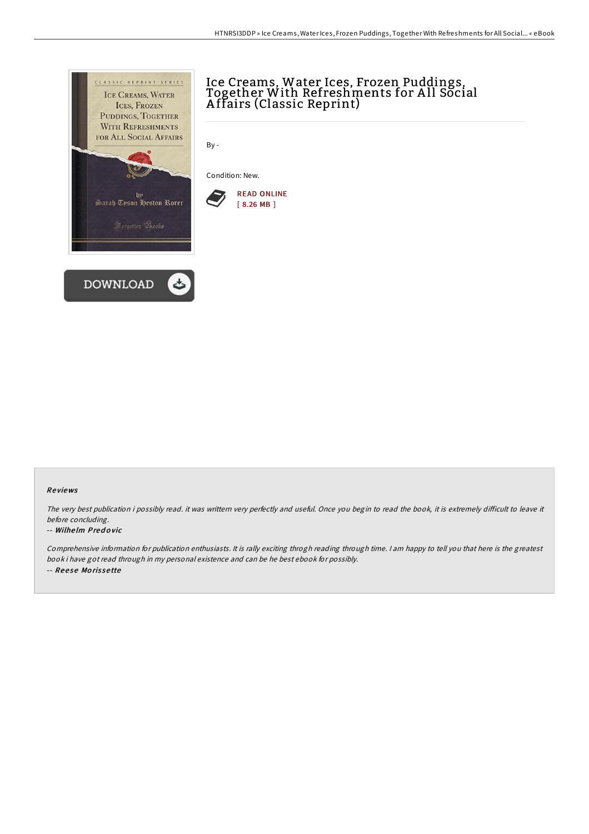

# Ice Creams, Water Ices, Frozen Puddings, Together With Refreshments for A ll Social A ffairs (Classic Reprint)

By -

Condition: New.



#### Re views

The very best publication i possibly read. it was writtern very perfectly and useful. Once you begin to read the book, it is extremely difficult to leave it before concluding.

#### -- Wilhe lm Pred o vic

Comprehensive information for publication enthusiasts. It is rally exciting throgh reading through time. <sup>I</sup> am happy to tell you that here is the greatest book i have got read through in my personal existence and can be he best ebook for possibly. -- Reese Morissette